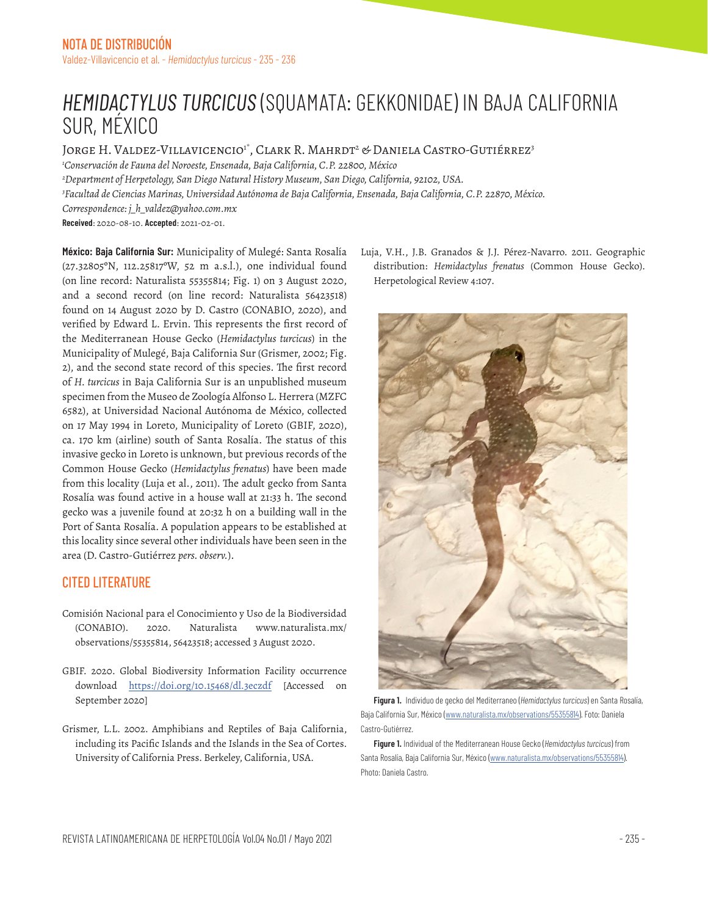## *HEMIDACTYLUS TURCICUS* (SQUAMATA: GEKKONIDAE) IN BAJA CALIFORNIA SUR, MÉXICO

Jorge H. Valdez-Villavicencio<sup>i\*</sup>, Clark R. Mahrdt<sup>2</sup> & Daniela Castro-Gutiérrez<sup>3</sup> *1 Conservación de Fauna del Noroeste, Ensenada, Baja California, C.P. 22800, México 2 Department of Herpetology, San Diego Natural History Museum, San Diego, California, 92102, USA. 3 Facultad de Ciencias Marinas, Universidad Autónoma de Baja California, Ensenada, Baja California, C.P. 22870, México. Correspondence: j\_h\_valdez@yahoo.com.mx* **Received**: 2020-08-10. **Accepted**: 2021-02-01.

**México: Baja California Sur:** Municipality of Mulegé: Santa Rosalía (27.32805ºN, 112.25817ºW, 52 m a.s.l.), one individual found (on line record: Naturalista 55355814; Fig. 1) on 3 August 2020, and a second record (on line record: Naturalista 56423518) found on 14 August 2020 by D. Castro (CONABIO, 2020), and verified by Edward L. Ervin. This represents the first record of the Mediterranean House Gecko (*Hemidactylus turcicus*) in the Municipality of Mulegé, Baja California Sur (Grismer, 2002; Fig. 2), and the second state record of this species. The first record of *H. turcicus* in Baja California Sur is an unpublished museum specimen from the Museo de Zoología Alfonso L. Herrera (MZFC 6582), at Universidad Nacional Autónoma de México, collected on 17 May 1994 in Loreto, Municipality of Loreto (GBIF, 2020), ca. 170 km (airline) south of Santa Rosalía. The status of this invasive gecko in Loreto is unknown, but previous records of the Common House Gecko (*Hemidactylus frenatus*) have been made from this locality (Luja et al., 2011). The adult gecko from Santa Rosalía was found active in a house wall at 21:33 h. The second gecko was a juvenile found at 20:32 h on a building wall in the Port of Santa Rosalía. A population appears to be established at this locality since several other individuals have been seen in the area (D. Castro-Gutiérrez *pers. observ.*).

## CITED LITERATURE

- Comisión Nacional para el Conocimiento y Uso de la Biodiversidad (CONABIO). 2020. Naturalista www.naturalista.mx/ observations/55355814, 56423518; accessed 3 August 2020.
- GBIF. 2020. Global Biodiversity Information Facility occurrence download https://doi.org/10.15468/dl.3eczdf [Accessed on September 2020]
- Grismer, L.L. 2002. Amphibians and Reptiles of Baja California, including its Pacific Islands and the Islands in the Sea of Cortes. University of California Press. Berkeley, California, USA.

Luja, V.H., J.B. Granados & J.J. Pérez-Navarro. 2011. Geographic distribution: *Hemidactylus frenatus* (Common House Gecko). Herpetological Review 4:107.



**Figura 1.** Individuo de gecko del Mediterraneo (*Hemidactylus turcicus*) en Santa Rosalía, Baja California Sur, México (www.naturalista.mx/observations/55355814). Foto: Daniela Castro-Gutiérrez.

**Figure 1.** Individual of the Mediterranean House Gecko (*Hemidactylus turcicus*) from Santa Rosalía, Baja California Sur, México (www.naturalista.mx/observations/55355814). Photo: Daniela Castro.